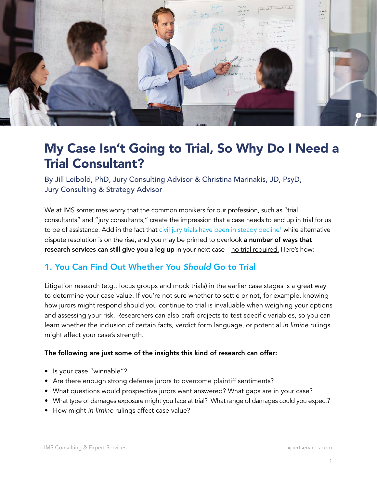

# My Case Isn't Going to Trial, So Why Do I Need a Trial Consultant?

By Jill Leibold, PhD, Jury Consulting Advisor & Christina Marinakis, JD, PsyD, Jury Consulting & Strategy Advisor

We at IMS sometimes worry that the common monikers for our profession, such as "trial consultants" and "jury consultants," create the impression that a case needs to end up in trial for us to be of assistance. Add in the fact that civil jury trials have been in steady decline<sup>1</sup> while alternative dispute resolution is on the rise, and you may be primed to overlook a number of ways that research services can still give you a leg up in your next case—no trial required. Here's how:

### 1. You Can Find Out Whether You *Should* Go to Trial

Litigation research (e.g., focus groups and mock trials) in the earlier case stages is a great way to determine your case value. If you're not sure whether to settle or not, for example, knowing how jurors might respond should you continue to trial is invaluable when weighing your options and assessing your risk. Researchers can also craft projects to test specific variables, so you can learn whether the inclusion of certain facts, verdict form language, or potential *in limine* rulings might affect your case's strength.

### The following are just some of the insights this kind of research can offer:

- Is your case "winnable"?
- Are there enough strong defense jurors to overcome plaintiff sentiments?
- What questions would prospective jurors want answered? What gaps are in your case?
- What type of damages exposure might you face at trial? What range of damages could you expect?
- How might *in limine* rulings affect case value?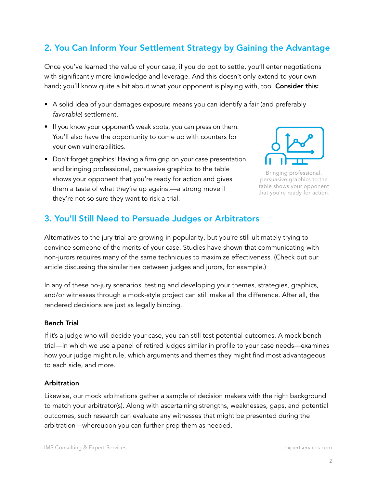## 2. You Can Inform Your Settlement Strategy by Gaining the Advantage

Once you've learned the value of your case, if you do opt to settle, you'll enter negotiations with significantly more knowledge and leverage. And this doesn't only extend to your own hand; you'll know quite a bit about what your opponent is playing with, too. Consider this:

- A solid idea of your damages exposure means you can identify a fair (and preferably *favorable*) settlement.
- If you know your opponent's weak spots, you can press on them. You'll also have the opportunity to come up with counters for your own vulnerabilities.
- Don't forget graphics! Having a firm grip on your case presentation and bringing professional, persuasive graphics to the table shows your opponent that you're ready for action and gives them a taste of what they're up against—a strong move if they're not so sure they want to risk a trial.



Bringing professional, persuasive graphics to the table shows your opponent that you're ready for action.

### 3. You'll Still Need to Persuade Judges or Arbitrators

Alternatives to the jury trial are growing in popularity, but you're still ultimately trying to convince someone of the merits of your case. Studies have shown that communicating with non-jurors requires many of the same techniques to maximize effectiveness. (Check out our article discussing the similarities between judges and jurors, for example.)

In any of these no-jury scenarios, testing and developing your themes, strategies, graphics, and/or witnesses through a mock-style project can still make all the difference. After all, the rendered decisions are just as legally binding.

### Bench Trial

If it's a judge who will decide your case, you can still test potential outcomes. A mock bench trial—in which we use a panel of retired judges similar in profile to your case needs—examines how your judge might rule, which arguments and themes they might find most advantageous to each side, and more.

### Arbitration

Likewise, our mock arbitrations gather a sample of decision makers with the right background to match your arbitrator(s). Along with ascertaining strengths, weaknesses, gaps, and potential outcomes, such research can evaluate any witnesses that might be presented during the arbitration—whereupon you can further prep them as needed.